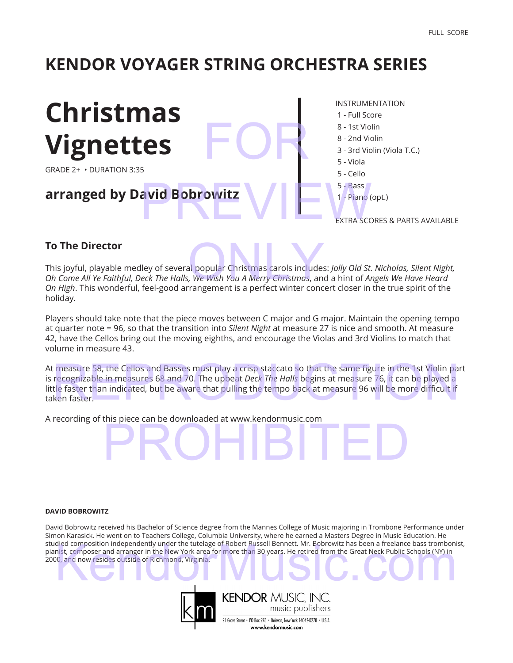# **KENDOR VOYAGER STRING ORCHESTRA SERIES**

# **Christmas Vignettes**

GRADE 2+ • DURATION 3:35

## **arranged by David Bobrowitz**



### **To The Director**

This joyful, playable medley of several popular Christmas carols includes: *Jolly Old St. Nicholas, Silent Night, Oh Come All Ye Faithful, Deck The Halls, We Wish You A Merry Christmas*, and a hint of *Angels We Have Heard On High*. This wonderful, feel-good arrangement is a perfect winter concert closer in the true spirit of the holiday. al popular Christmas carols includes: Jo.<br> *Ne Wish You A Merry Christmas*, and a literature of the Vietname.<br>
Transement is a perfect winter concert

FOR

Players should take note that the piece moves between C major and G major. Maintain the opening tempo at quarter note = 96, so that the transition into *Silent Night* at measure 27 is nice and smooth. At measure 42, have the Cellos bring out the moving eighths, and encourage the Violas and 3rd Violins to match that volume in measure 43.

At measure 58, the Cellos and Basses must play a crisp staccato so that the same figure in the 1st Violin part<br>is recognizable in measures 68 and 70. The upbeat *Deck The Halls* begins at measure 76, it can be played a<br>lit is recognizable in measures 68 and 70. The upbeat *Deck The Halls* begins at measure 76, it can be played a little faster than indicated, but be aware that pulling the tempo back at measure 96 will be more difficult if taken faster.

A recording of this piece can be downloaded at www.kendormusic.com PROHIBITED

#### **DAVID BOBROWITZ**

David Bobrowitz received his Bachelor of Science degree from the Mannes College of Music majoring in Trombone Performance under Simon Karasick. He went on to Teachers College, Columbia University, where he earned a Masters Degree in Music Education. He studied composition independently under the tutelage of Robert Russell Bennett. Mr. Bobrowitz has been a freelance bass trombonist, pianist, composition independently under the tutelage of Robert Russell Bennett. Mr. Bobrowitz has been a freelance bass fromboni<br>pianist, composer and arranger in the New York area for more than 30 years. He retired from 2000, and now resides outside of Richmond, Virginia.

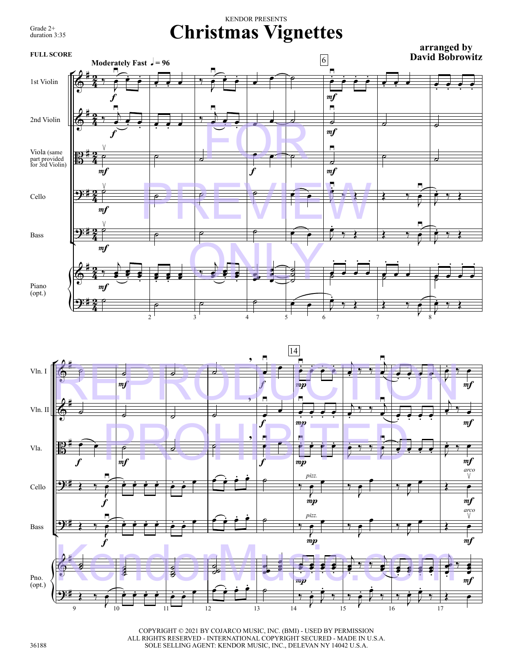#### Grade 2+ duration 3:35

KENDOR PRESENTS

## **Christmas Vignettes**





COPYRIGHT © 2021 BY COJARCO MUSIC, INC. (BMI) - USED BY PERMISSION ALL RIGHTS RESERVED - INTERNATIONAL COPYRIGHT SECURED - MADE IN U.S.A. SOLE SELLING AGENT: KENDOR MUSIC, INC., DELEVAN NY 14042 U.S.A.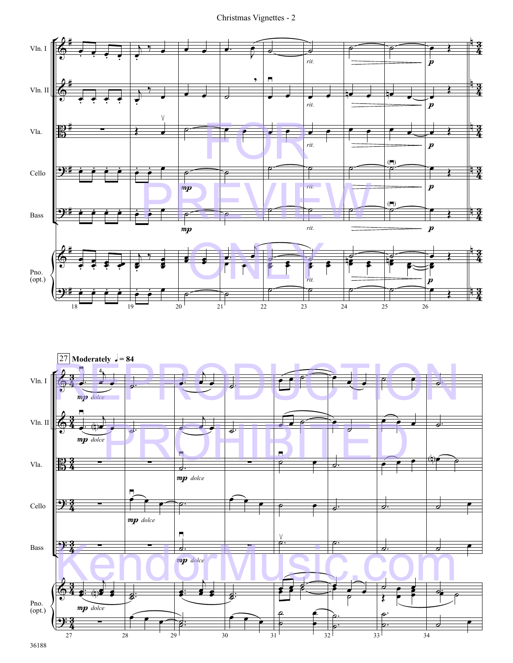Christmas Vignettes - 2





36188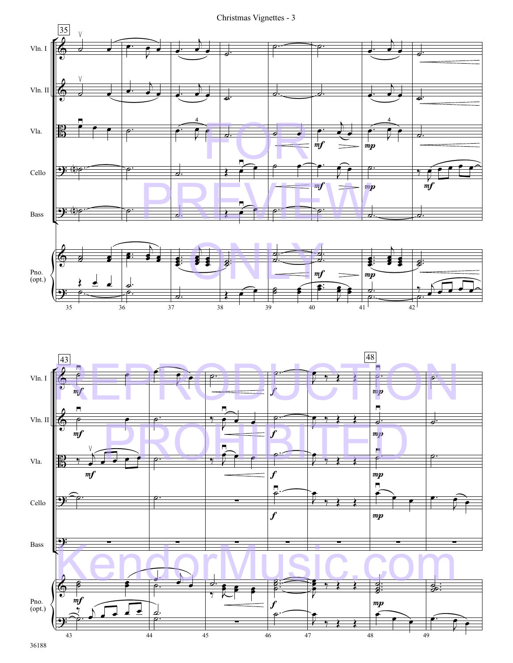Christmas Vignettes - 3



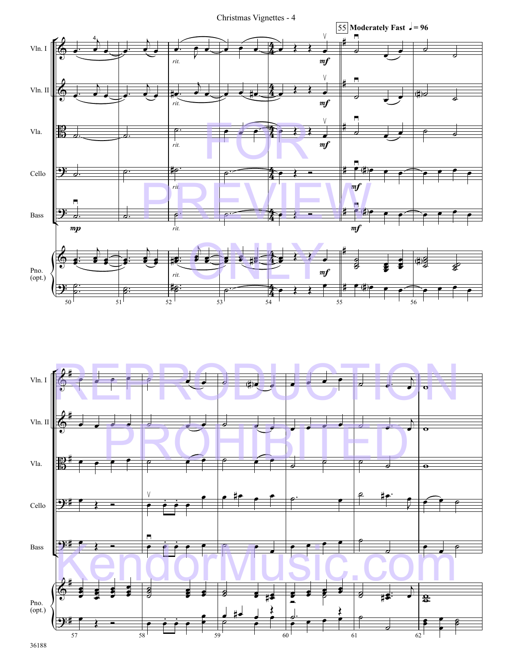

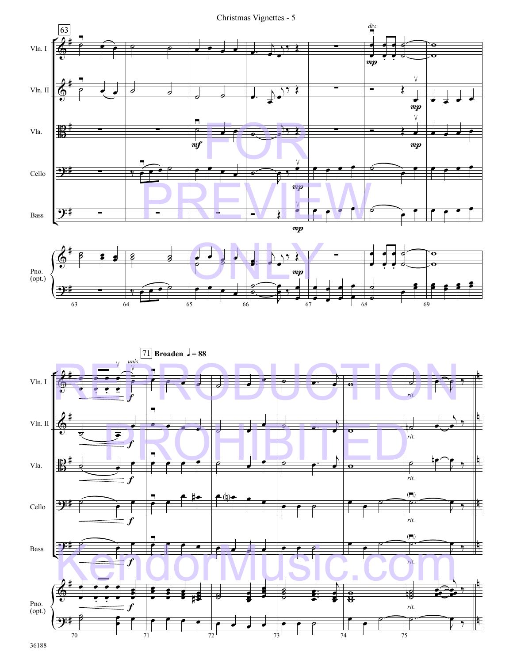Christmas Vignettes - 5



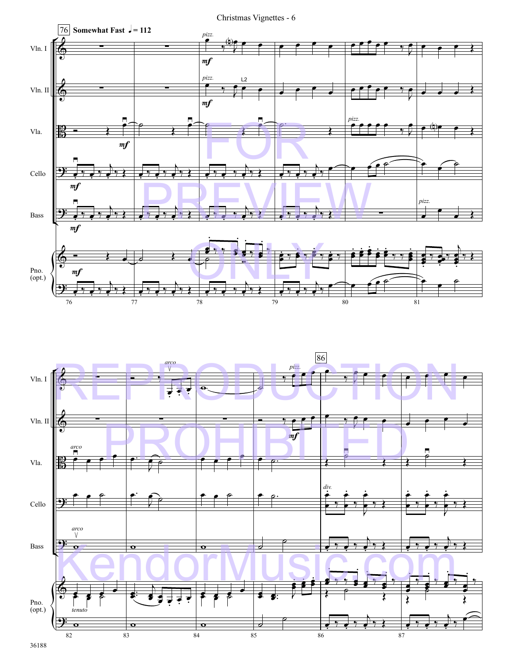Christmas Vignettes - 6



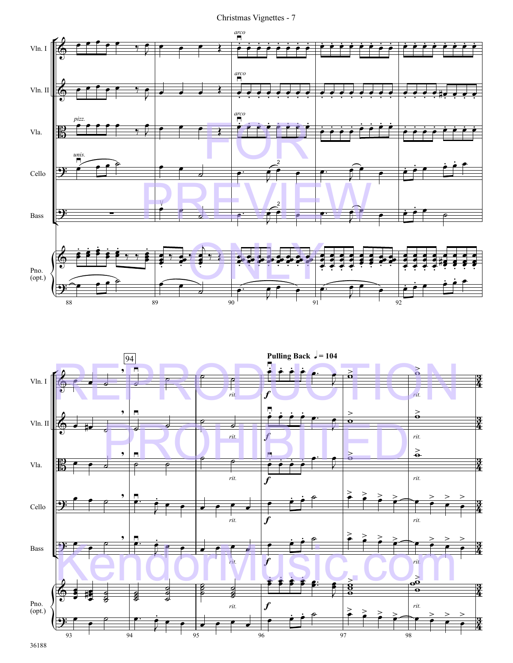Christmas Vignettes - 7





36188